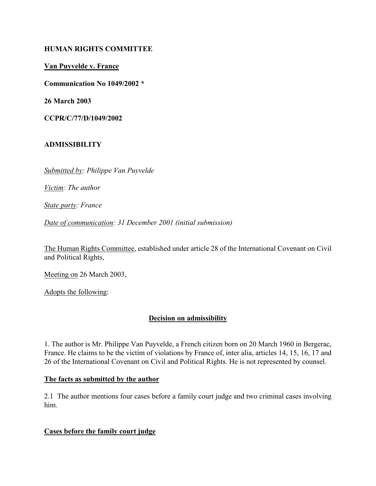#### HUMAN RIGHTS COMMITTEE

## Van Puyvelde v. France

Communication No 1049/2002 \*

26 March 2003

CCPR/C/77/D/1049/2002

### ADMISSIBILITY

Submitted by: Philippe Van Puyvelde

Victim: The author

State party: France

Date of communication: 31 December 2001 (initial submission)

The Human Rights Committee, established under article 28 of the International Covenant on Civil and Political Rights,

Meeting on 26 March 2003,

Adopts the following:

# Decision on admissibility

1. The author is Mr. Philippe Van Puyvelde, a French citizen born on 20 March 1960 in Bergerac, France. He claims to be the victim of violations by France of, inter alia, articles 14, 15, 16, 17 and 26 of the International Covenant on Civil and Political Rights. He is not represented by counsel.

#### The facts as submitted by the author

2.1 The author mentions four cases before a family court judge and two criminal cases involving him.

#### Cases before the family court judge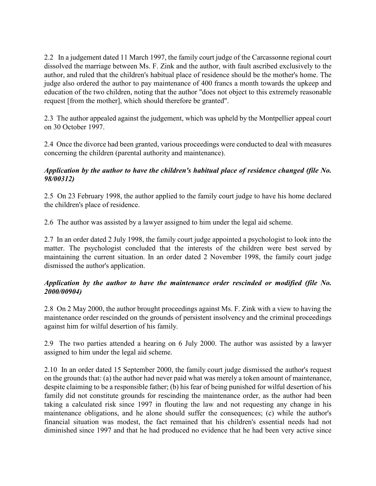2.2 In a judgement dated 11 March 1997, the family court judge of the Carcassonne regional court dissolved the marriage between Ms. F. Zink and the author, with fault ascribed exclusively to the author, and ruled that the children's habitual place of residence should be the mother's home. The judge also ordered the author to pay maintenance of 400 francs a month towards the upkeep and education of the two children, noting that the author "does not object to this extremely reasonable request [from the mother], which should therefore be granted".

2.3 The author appealed against the judgement, which was upheld by the Montpellier appeal court on 30 October 1997.

2.4 Once the divorce had been granted, various proceedings were conducted to deal with measures concerning the children (parental authority and maintenance).

### Application by the author to have the children's habitual place of residence changed (file No. 98/00312)

2.5 On 23 February 1998, the author applied to the family court judge to have his home declared the children's place of residence.

2.6 The author was assisted by a lawyer assigned to him under the legal aid scheme.

2.7 In an order dated 2 July 1998, the family court judge appointed a psychologist to look into the matter. The psychologist concluded that the interests of the children were best served by maintaining the current situation. In an order dated 2 November 1998, the family court judge dismissed the author's application.

### Application by the author to have the maintenance order rescinded or modified (file No. 2000/00904)

2.8 On 2 May 2000, the author brought proceedings against Ms. F. Zink with a view to having the maintenance order rescinded on the grounds of persistent insolvency and the criminal proceedings against him for wilful desertion of his family.

2.9 The two parties attended a hearing on 6 July 2000. The author was assisted by a lawyer assigned to him under the legal aid scheme.

2.10 In an order dated 15 September 2000, the family court judge dismissed the author's request on the grounds that: (a) the author had never paid what was merely a token amount of maintenance, despite claiming to be a responsible father; (b) his fear of being punished for wilful desertion of his family did not constitute grounds for rescinding the maintenance order, as the author had been taking a calculated risk since 1997 in flouting the law and not requesting any change in his maintenance obligations, and he alone should suffer the consequences; (c) while the author's financial situation was modest, the fact remained that his children's essential needs had not diminished since 1997 and that he had produced no evidence that he had been very active since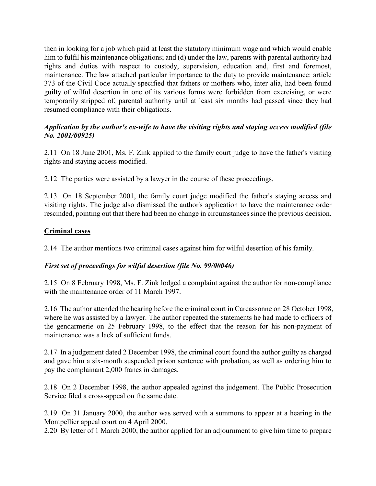then in looking for a job which paid at least the statutory minimum wage and which would enable him to fulfil his maintenance obligations; and (d) under the law, parents with parental authority had rights and duties with respect to custody, supervision, education and, first and foremost, maintenance. The law attached particular importance to the duty to provide maintenance: article 373 of the Civil Code actually specified that fathers or mothers who, inter alia, had been found guilty of wilful desertion in one of its various forms were forbidden from exercising, or were temporarily stripped of, parental authority until at least six months had passed since they had resumed compliance with their obligations.

### Application by the author's ex-wife to have the visiting rights and staying access modified (file No. 2001/00925)

2.11 On 18 June 2001, Ms. F. Zink applied to the family court judge to have the father's visiting rights and staying access modified.

2.12 The parties were assisted by a lawyer in the course of these proceedings.

2.13 On 18 September 2001, the family court judge modified the father's staying access and visiting rights. The judge also dismissed the author's application to have the maintenance order rescinded, pointing out that there had been no change in circumstances since the previous decision.

### Criminal cases

2.14 The author mentions two criminal cases against him for wilful desertion of his family.

#### First set of proceedings for wilful desertion (file No. 99/00046)

2.15 On 8 February 1998, Ms. F. Zink lodged a complaint against the author for non-compliance with the maintenance order of 11 March 1997.

2.16 The author attended the hearing before the criminal court in Carcassonne on 28 October 1998, where he was assisted by a lawyer. The author repeated the statements he had made to officers of the gendarmerie on 25 February 1998, to the effect that the reason for his non-payment of maintenance was a lack of sufficient funds.

2.17 In a judgement dated 2 December 1998, the criminal court found the author guilty as charged and gave him a six-month suspended prison sentence with probation, as well as ordering him to pay the complainant 2,000 francs in damages.

2.18 On 2 December 1998, the author appealed against the judgement. The Public Prosecution Service filed a cross-appeal on the same date.

2.19 On 31 January 2000, the author was served with a summons to appear at a hearing in the Montpellier appeal court on 4 April 2000.

2.20 By letter of 1 March 2000, the author applied for an adjournment to give him time to prepare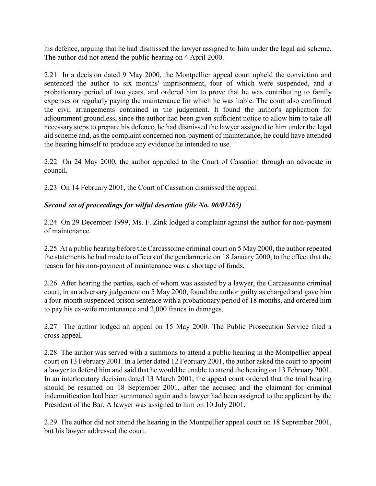his defence, arguing that he had dismissed the lawyer assigned to him under the legal aid scheme. The author did not attend the public hearing on 4 April 2000.

2.21 In a decision dated 9 May 2000, the Montpellier appeal court upheld the conviction and sentenced the author to six months' imprisonment, four of which were suspended, and a probationary period of two years, and ordered him to prove that he was contributing to family expenses or regularly paying the maintenance for which he was liable. The court also confirmed the civil arrangements contained in the judgement. It found the author's application for adjournment groundless, since the author had been given sufficient notice to allow him to take all necessary steps to prepare his defence, he had dismissed the lawyer assigned to him under the legal aid scheme and, as the complaint concerned non-payment of maintenance, he could have attended the hearing himself to produce any evidence he intended to use.

2.22 On 24 May 2000, the author appealed to the Court of Cassation through an advocate in council.

2.23 On 14 February 2001, the Court of Cassation dismissed the appeal.

# Second set of proceedings for wilful desertion (file No. 00/01265)

2.24 On 29 December 1999, Ms. F. Zink lodged a complaint against the author for non-payment of maintenance.

2.25 At a public hearing before the Carcassonne criminal court on 5 May 2000, the author repeated the statements he had made to officers of the gendarmerie on 18 January 2000, to the effect that the reason for his non-payment of maintenance was a shortage of funds.

2.26 After hearing the parties, each of whom was assisted by a lawyer, the Carcassonne criminal court, in an adversary judgement on 5 May 2000, found the author guilty as charged and gave him a four-month suspended prison sentence with a probationary period of 18 months, and ordered him to pay his ex-wife maintenance and 2,000 francs in damages.

2.27 The author lodged an appeal on 15 May 2000. The Public Prosecution Service filed a cross-appeal.

2.28 The author was served with a summons to attend a public hearing in the Montpellier appeal court on 13 February 2001. In a letter dated 12 February 2001, the author asked the court to appoint a lawyer to defend him and said that he would be unable to attend the hearing on 13 February 2001. In an interlocutory decision dated 13 March 2001, the appeal court ordered that the trial hearing should be resumed on 18 September 2001, after the accused and the claimant for criminal indemnification had been summoned again and a lawyer had been assigned to the applicant by the President of the Bar. A lawyer was assigned to him on 10 July 2001.

2.29 The author did not attend the hearing in the Montpellier appeal court on 18 September 2001, but his lawyer addressed the court.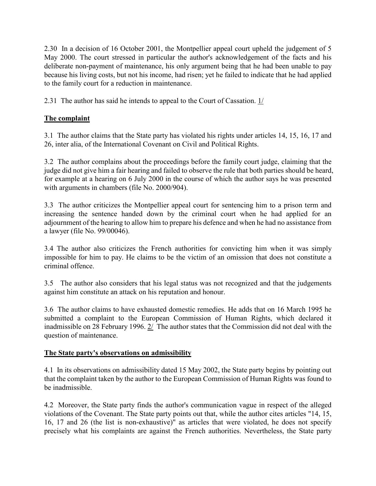2.30 In a decision of 16 October 2001, the Montpellier appeal court upheld the judgement of 5 May 2000. The court stressed in particular the author's acknowledgement of the facts and his deliberate non-payment of maintenance, his only argument being that he had been unable to pay because his living costs, but not his income, had risen; yet he failed to indicate that he had applied to the family court for a reduction in maintenance.

2.31 The author has said he intends to appeal to the Court of Cassation. 1/

# The complaint

3.1 The author claims that the State party has violated his rights under articles 14, 15, 16, 17 and 26, inter alia, of the International Covenant on Civil and Political Rights.

3.2 The author complains about the proceedings before the family court judge, claiming that the judge did not give him a fair hearing and failed to observe the rule that both parties should be heard, for example at a hearing on 6 July 2000 in the course of which the author says he was presented with arguments in chambers (file No. 2000/904).

3.3 The author criticizes the Montpellier appeal court for sentencing him to a prison term and increasing the sentence handed down by the criminal court when he had applied for an adjournment of the hearing to allow him to prepare his defence and when he had no assistance from a lawyer (file No. 99/00046).

3.4 The author also criticizes the French authorities for convicting him when it was simply impossible for him to pay. He claims to be the victim of an omission that does not constitute a criminal offence.

3.5 The author also considers that his legal status was not recognized and that the judgements against him constitute an attack on his reputation and honour.

3.6 The author claims to have exhausted domestic remedies. He adds that on 16 March 1995 he submitted a complaint to the European Commission of Human Rights, which declared it inadmissible on 28 February 1996. 2/ The author states that the Commission did not deal with the question of maintenance.

#### The State party's observations on admissibility

4.1 In its observations on admissibility dated 15 May 2002, the State party begins by pointing out that the complaint taken by the author to the European Commission of Human Rights was found to be inadmissible.

4.2 Moreover, the State party finds the author's communication vague in respect of the alleged violations of the Covenant. The State party points out that, while the author cites articles "14, 15, 16, 17 and 26 (the list is non-exhaustive)" as articles that were violated, he does not specify precisely what his complaints are against the French authorities. Nevertheless, the State party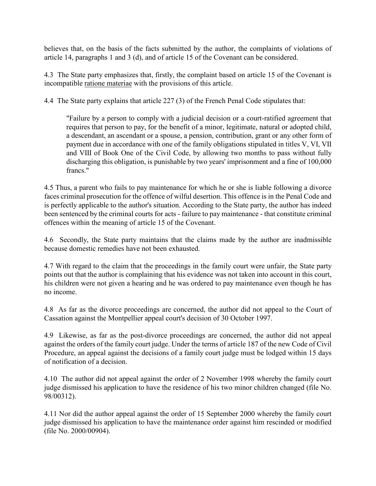believes that, on the basis of the facts submitted by the author, the complaints of violations of article 14, paragraphs 1 and 3 (d), and of article 15 of the Covenant can be considered.

4.3 The State party emphasizes that, firstly, the complaint based on article 15 of the Covenant is incompatible ratione materiae with the provisions of this article.

4.4 The State party explains that article 227 (3) of the French Penal Code stipulates that:

"Failure by a person to comply with a judicial decision or a court-ratified agreement that requires that person to pay, for the benefit of a minor, legitimate, natural or adopted child, a descendant, an ascendant or a spouse, a pension, contribution, grant or any other form of payment due in accordance with one of the family obligations stipulated in titles V, VI, VII and VIII of Book One of the Civil Code, by allowing two months to pass without fully discharging this obligation, is punishable by two years' imprisonment and a fine of 100,000 francs."

4.5 Thus, a parent who fails to pay maintenance for which he or she is liable following a divorce faces criminal prosecution for the offence of wilful desertion. This offence is in the Penal Code and is perfectly applicable to the author's situation. According to the State party, the author has indeed been sentenced by the criminal courts for acts - failure to pay maintenance - that constitute criminal offences within the meaning of article 15 of the Covenant.

4.6 Secondly, the State party maintains that the claims made by the author are inadmissible because domestic remedies have not been exhausted.

4.7 With regard to the claim that the proceedings in the family court were unfair, the State party points out that the author is complaining that his evidence was not taken into account in this court, his children were not given a hearing and he was ordered to pay maintenance even though he has no income.

4.8 As far as the divorce proceedings are concerned, the author did not appeal to the Court of Cassation against the Montpellier appeal court's decision of 30 October 1997.

4.9 Likewise, as far as the post-divorce proceedings are concerned, the author did not appeal against the orders of the family court judge. Under the terms of article 187 of the new Code of Civil Procedure, an appeal against the decisions of a family court judge must be lodged within 15 days of notification of a decision.

4.10 The author did not appeal against the order of 2 November 1998 whereby the family court judge dismissed his application to have the residence of his two minor children changed (file No. 98/00312).

4.11 Nor did the author appeal against the order of 15 September 2000 whereby the family court judge dismissed his application to have the maintenance order against him rescinded or modified (file No. 2000/00904).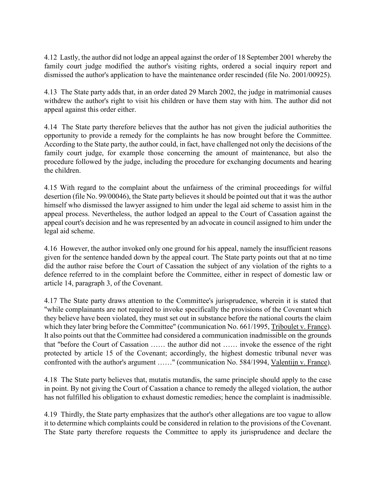4.12 Lastly, the author did not lodge an appeal against the order of 18 September 2001 whereby the family court judge modified the author's visiting rights, ordered a social inquiry report and dismissed the author's application to have the maintenance order rescinded (file No. 2001/00925).

4.13 The State party adds that, in an order dated 29 March 2002, the judge in matrimonial causes withdrew the author's right to visit his children or have them stay with him. The author did not appeal against this order either.

4.14 The State party therefore believes that the author has not given the judicial authorities the opportunity to provide a remedy for the complaints he has now brought before the Committee. According to the State party, the author could, in fact, have challenged not only the decisions of the family court judge, for example those concerning the amount of maintenance, but also the procedure followed by the judge, including the procedure for exchanging documents and hearing the children.

4.15 With regard to the complaint about the unfairness of the criminal proceedings for wilful desertion (file No. 99/00046), the State party believes it should be pointed out that it was the author himself who dismissed the lawyer assigned to him under the legal aid scheme to assist him in the appeal process. Nevertheless, the author lodged an appeal to the Court of Cassation against the appeal court's decision and he was represented by an advocate in council assigned to him under the legal aid scheme.

4.16 However, the author invoked only one ground for his appeal, namely the insufficient reasons given for the sentence handed down by the appeal court. The State party points out that at no time did the author raise before the Court of Cassation the subject of any violation of the rights to a defence referred to in the complaint before the Committee, either in respect of domestic law or article 14, paragraph 3, of the Covenant.

4.17 The State party draws attention to the Committee's jurisprudence, wherein it is stated that "while complainants are not required to invoke specifically the provisions of the Covenant which they believe have been violated, they must set out in substance before the national courts the claim which they later bring before the Committee" (communication No. 661/1995, Triboulet v. France). It also points out that the Committee had considered a communication inadmissible on the grounds that "before the Court of Cassation …… the author did not …… invoke the essence of the right protected by article 15 of the Covenant; accordingly, the highest domestic tribunal never was confronted with the author's argument ……" (communication No. 584/1994, Valentijn v. France).

4.18 The State party believes that, mutatis mutandis, the same principle should apply to the case in point. By not giving the Court of Cassation a chance to remedy the alleged violation, the author has not fulfilled his obligation to exhaust domestic remedies; hence the complaint is inadmissible.

4.19 Thirdly, the State party emphasizes that the author's other allegations are too vague to allow it to determine which complaints could be considered in relation to the provisions of the Covenant. The State party therefore requests the Committee to apply its jurisprudence and declare the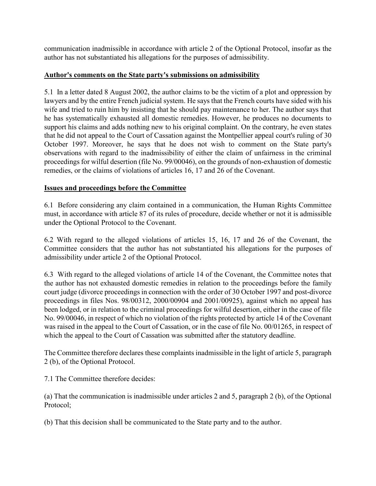communication inadmissible in accordance with article 2 of the Optional Protocol, insofar as the author has not substantiated his allegations for the purposes of admissibility.

#### Author's comments on the State party's submissions on admissibility

5.1 In a letter dated 8 August 2002, the author claims to be the victim of a plot and oppression by lawyers and by the entire French judicial system. He says that the French courts have sided with his wife and tried to ruin him by insisting that he should pay maintenance to her. The author says that he has systematically exhausted all domestic remedies. However, he produces no documents to support his claims and adds nothing new to his original complaint. On the contrary, he even states that he did not appeal to the Court of Cassation against the Montpellier appeal court's ruling of 30 October 1997. Moreover, he says that he does not wish to comment on the State party's observations with regard to the inadmissibility of either the claim of unfairness in the criminal proceedings for wilful desertion (file No. 99/00046), on the grounds of non-exhaustion of domestic remedies, or the claims of violations of articles 16, 17 and 26 of the Covenant.

# Issues and proceedings before the Committee

6.1 Before considering any claim contained in a communication, the Human Rights Committee must, in accordance with article 87 of its rules of procedure, decide whether or not it is admissible under the Optional Protocol to the Covenant.

6.2 With regard to the alleged violations of articles 15, 16, 17 and 26 of the Covenant, the Committee considers that the author has not substantiated his allegations for the purposes of admissibility under article 2 of the Optional Protocol.

6.3 With regard to the alleged violations of article 14 of the Covenant, the Committee notes that the author has not exhausted domestic remedies in relation to the proceedings before the family court judge (divorce proceedings in connection with the order of 30 October 1997 and post-divorce proceedings in files Nos. 98/00312, 2000/00904 and 2001/00925), against which no appeal has been lodged, or in relation to the criminal proceedings for wilful desertion, either in the case of file No. 99/00046, in respect of which no violation of the rights protected by article 14 of the Covenant was raised in the appeal to the Court of Cassation, or in the case of file No. 00/01265, in respect of which the appeal to the Court of Cassation was submitted after the statutory deadline.

The Committee therefore declares these complaints inadmissible in the light of article 5, paragraph 2 (b), of the Optional Protocol.

7.1 The Committee therefore decides:

(a) That the communication is inadmissible under articles 2 and 5, paragraph 2 (b), of the Optional Protocol;

(b) That this decision shall be communicated to the State party and to the author.